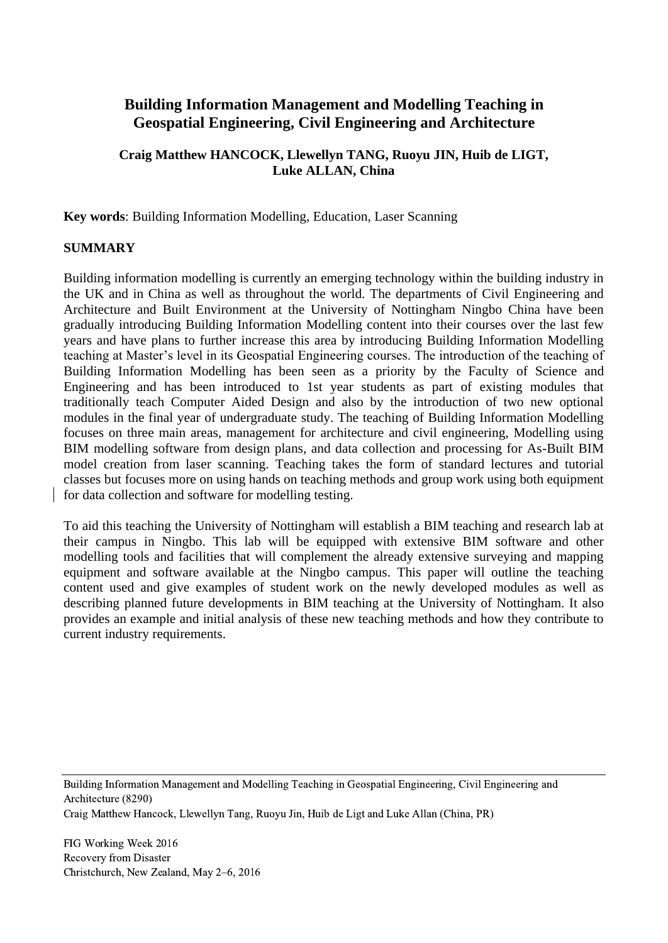# **Building Information Management and Modelling Teaching in Geospatial Engineering, Civil Engineering and Architecture**

### **Craig Matthew HANCOCK, Llewellyn TANG, Ruoyu JIN, Huib de LIGT, Luke ALLAN, China**

**Key words**: Building Information Modelling, Education, Laser Scanning

### **SUMMARY**

Building information modelling is currently an emerging technology within the building industry in the UK and in China as well as throughout the world. The departments of Civil Engineering and Architecture and Built Environment at the University of Nottingham Ningbo China have been gradually introducing Building Information Modelling content into their courses over the last few years and have plans to further increase this area by introducing Building Information Modelling teaching at Master's level in its Geospatial Engineering courses. The introduction of the teaching of Building Information Modelling has been seen as a priority by the Faculty of Science and Engineering and has been introduced to 1st year students as part of existing modules that traditionally teach Computer Aided Design and also by the introduction of two new optional modules in the final year of undergraduate study. The teaching of Building Information Modelling focuses on three main areas, management for architecture and civil engineering, Modelling using BIM modelling software from design plans, and data collection and processing for As-Built BIM model creation from laser scanning. Teaching takes the form of standard lectures and tutorial classes but focuses more on using hands on teaching methods and group work using both equipment for data collection and software for modelling testing.

To aid this teaching the University of Nottingham will establish a BIM teaching and research lab at their campus in Ningbo. This lab will be equipped with extensive BIM software and other modelling tools and facilities that will complement the already extensive surveying and mapping equipment and software available at the Ningbo campus. This paper will outline the teaching content used and give examples of student work on the newly developed modules as well as describing planned future developments in BIM teaching at the University of Nottingham. It also provides an example and initial analysis of these new teaching methods and how they contribute to current industry requirements.

Building Information Management and Modelling Teaching in Geospatial Engineering, Civil Engineering and Architecture (8290)

Craig Matthew Hancock, Llewellyn Tang, Ruoyu Jin, Huib de Ligt and Luke Allan (China, PR)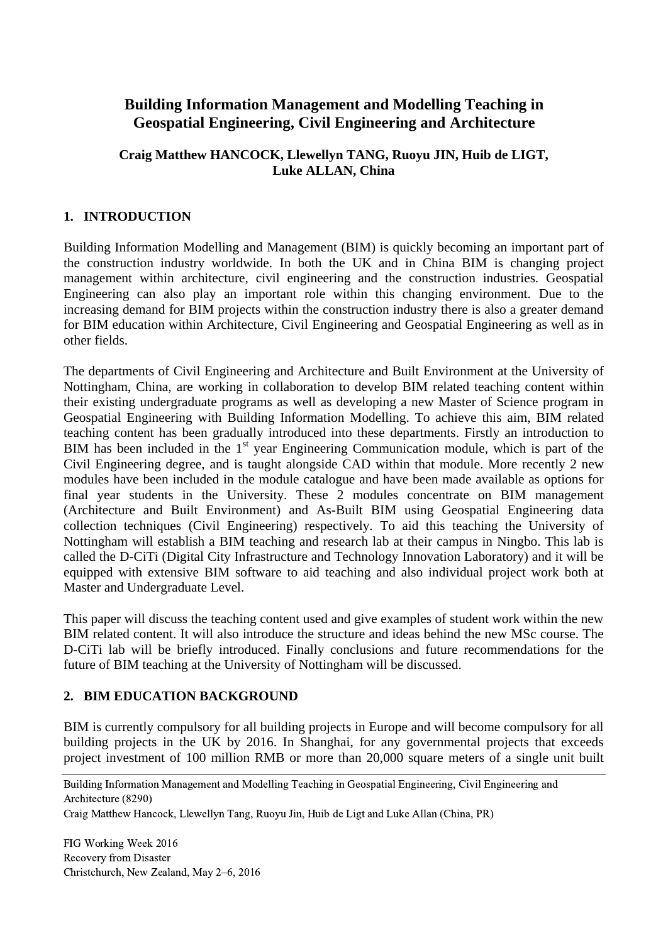# **Building Information Management and Modelling Teaching in Geospatial Engineering, Civil Engineering and Architecture**

### **Craig Matthew HANCOCK, Llewellyn TANG, Ruoyu JIN, Huib de LIGT, Luke ALLAN, China**

### **1. INTRODUCTION**

Building Information Modelling and Management (BIM) is quickly becoming an important part of the construction industry worldwide. In both the UK and in China BIM is changing project management within architecture, civil engineering and the construction industries. Geospatial Engineering can also play an important role within this changing environment. Due to the increasing demand for BIM projects within the construction industry there is also a greater demand for BIM education within Architecture, Civil Engineering and Geospatial Engineering as well as in other fields.

The departments of Civil Engineering and Architecture and Built Environment at the University of Nottingham, China, are working in collaboration to develop BIM related teaching content within their existing undergraduate programs as well as developing a new Master of Science program in Geospatial Engineering with Building Information Modelling. To achieve this aim, BIM related teaching content has been gradually introduced into these departments. Firstly an introduction to BIM has been included in the 1<sup>st</sup> year Engineering Communication module, which is part of the Civil Engineering degree, and is taught alongside CAD within that module. More recently 2 new modules have been included in the module catalogue and have been made available as options for final year students in the University. These 2 modules concentrate on BIM management (Architecture and Built Environment) and As-Built BIM using Geospatial Engineering data collection techniques (Civil Engineering) respectively. To aid this teaching the University of Nottingham will establish a BIM teaching and research lab at their campus in Ningbo. This lab is called the D-CiTi (Digital City Infrastructure and Technology Innovation Laboratory) and it will be equipped with extensive BIM software to aid teaching and also individual project work both at Master and Undergraduate Level.

This paper will discuss the teaching content used and give examples of student work within the new BIM related content. It will also introduce the structure and ideas behind the new MSc course. The D-CiTi lab will be briefly introduced. Finally conclusions and future recommendations for the future of BIM teaching at the University of Nottingham will be discussed.

### **2. BIM EDUCATION BACKGROUND**

BIM is currently compulsory for all building projects in Europe and will become compulsory for all building projects in the UK by 2016. In Shanghai, for any governmental projects that exceeds project investment of 100 million RMB or more than 20,000 square meters of a single unit built

Building Information Management and Modelling Teaching in Geospatial Engineering, Civil Engineering and Architecture (8290)

Craig Matthew Hancock, Llewellyn Tang, Ruoyu Jin, Huib de Ligt and Luke Allan (China, PR)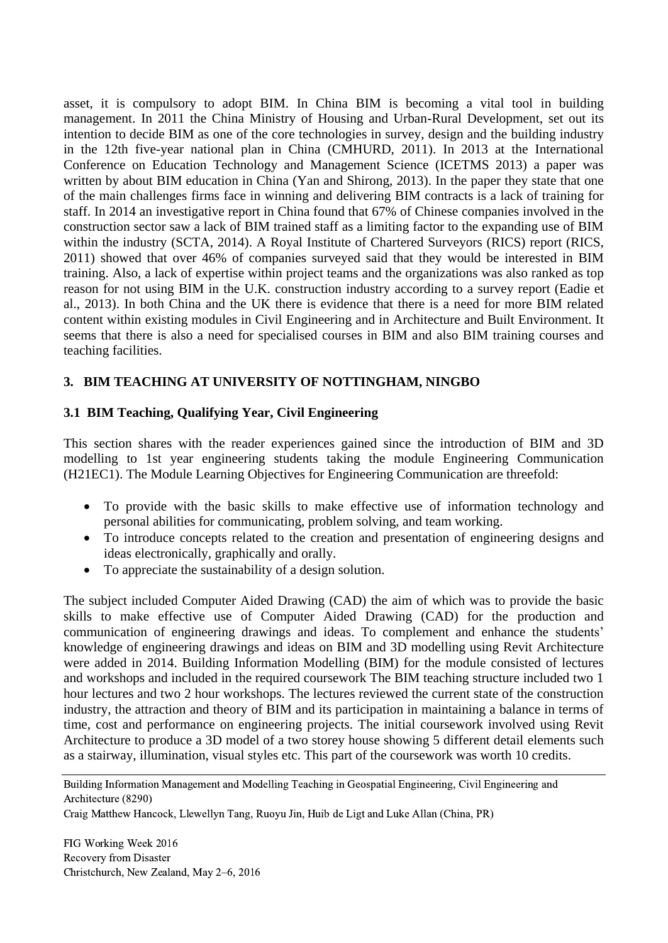asset, it is compulsory to adopt BIM. In China BIM is becoming a vital tool in building management. In 2011 the China Ministry of Housing and Urban-Rural Development, set out its intention to decide BIM as one of the core technologies in survey, design and the building industry in the 12th five-year national plan in China [\(CMHURD, 2011\)](#page-8-0). In 2013 at the International Conference on Education Technology and Management Science (ICETMS 2013) a paper was written by about BIM education in China [\(Yan and Shirong, 2013\)](#page-9-0). In the paper they state that one of the main challenges firms face in winning and delivering BIM contracts is a lack of training for staff. In 2014 an investigative report in China found that 67% of Chinese companies involved in the construction sector saw a lack of BIM trained staff as a limiting factor to the expanding use of BIM within the industry [\(SCTA, 2014\)](#page-9-1). A Royal Institute of Chartered Surveyors (RICS) report [\(RICS,](#page-9-2)  [2011\)](#page-9-2) showed that over 46% of companies surveyed said that they would be interested in BIM training. Also, a lack of expertise within project teams and the organizations was also ranked as top reason for not using BIM in the U.K. construction industry according to a survey report [\(Eadie et](#page-9-3)  [al., 2013\)](#page-9-3). In both China and the UK there is evidence that there is a need for more BIM related content within existing modules in Civil Engineering and in Architecture and Built Environment. It seems that there is also a need for specialised courses in BIM and also BIM training courses and teaching facilities.

### **3. BIM TEACHING AT UNIVERSITY OF NOTTINGHAM, NINGBO**

### **3.1 BIM Teaching, Qualifying Year, Civil Engineering**

This section shares with the reader experiences gained since the introduction of BIM and 3D modelling to 1st year engineering students taking the module Engineering Communication (H21EC1). The Module Learning Objectives for Engineering Communication are threefold:

- To provide with the basic skills to make effective use of information technology and personal abilities for communicating, problem solving, and team working.
- To introduce concepts related to the creation and presentation of engineering designs and ideas electronically, graphically and orally.
- To appreciate the sustainability of a design solution.

The subject included Computer Aided Drawing (CAD) the aim of which was to provide the basic skills to make effective use of Computer Aided Drawing (CAD) for the production and communication of engineering drawings and ideas. To complement and enhance the students' knowledge of engineering drawings and ideas on BIM and 3D modelling using Revit Architecture were added in 2014. Building Information Modelling (BIM) for the module consisted of lectures and workshops and included in the required coursework The BIM teaching structure included two 1 hour lectures and two 2 hour workshops. The lectures reviewed the current state of the construction industry, the attraction and theory of BIM and its participation in maintaining a balance in terms of time, cost and performance on engineering projects. The initial coursework involved using Revit Architecture to produce a 3D model of a two storey house showing 5 different detail elements such as a stairway, illumination, visual styles etc. This part of the coursework was worth 10 credits.

Craig Matthew Hancock, Llewellyn Tang, Ruoyu Jin, Huib de Ligt and Luke Allan (China, PR)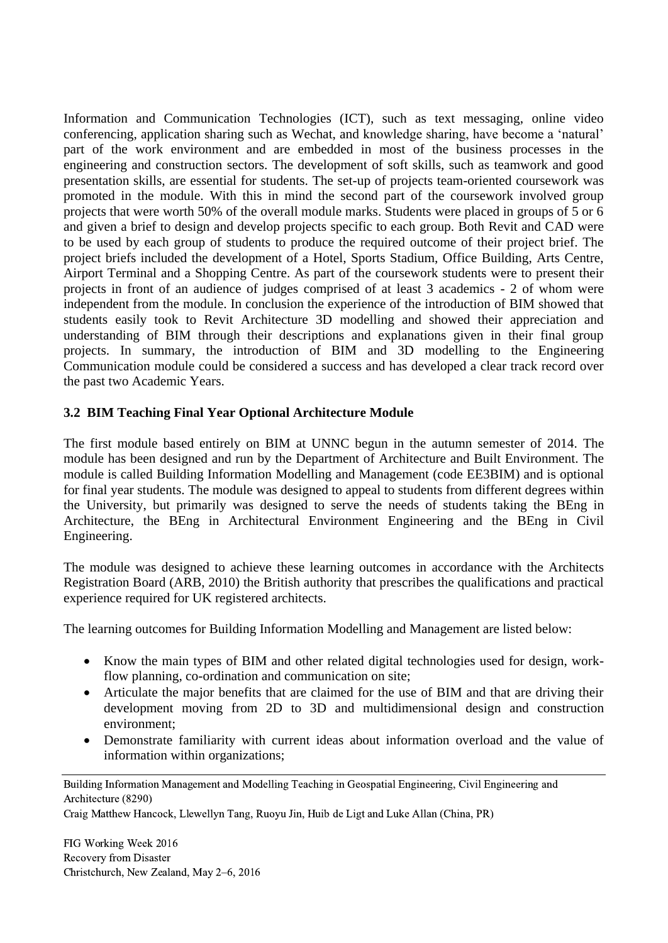Information and Communication Technologies (ICT), such as text messaging, online video conferencing, application sharing such as Wechat, and knowledge sharing, have become a 'natural' part of the work environment and are embedded in most of the business processes in the engineering and construction sectors. The development of soft skills, such as teamwork and good presentation skills, are essential for students. The set-up of projects team-oriented coursework was promoted in the module. With this in mind the second part of the coursework involved group projects that were worth 50% of the overall module marks. Students were placed in groups of 5 or 6 and given a brief to design and develop projects specific to each group. Both Revit and CAD were to be used by each group of students to produce the required outcome of their project brief. The project briefs included the development of a Hotel, Sports Stadium, Office Building, Arts Centre, Airport Terminal and a Shopping Centre. As part of the coursework students were to present their projects in front of an audience of judges comprised of at least 3 academics - 2 of whom were independent from the module. In conclusion the experience of the introduction of BIM showed that students easily took to Revit Architecture 3D modelling and showed their appreciation and understanding of BIM through their descriptions and explanations given in their final group projects. In summary, the introduction of BIM and 3D modelling to the Engineering Communication module could be considered a success and has developed a clear track record over the past two Academic Years.

### **3.2 BIM Teaching Final Year Optional Architecture Module**

The first module based entirely on BIM at UNNC begun in the autumn semester of 2014. The module has been designed and run by the Department of Architecture and Built Environment. The module is called Building Information Modelling and Management (code EE3BIM) and is optional for final year students. The module was designed to appeal to students from different degrees within the University, but primarily was designed to serve the needs of students taking the BEng in Architecture, the BEng in Architectural Environment Engineering and the BEng in Civil Engineering.

The module was designed to achieve these learning outcomes in accordance with the Architects Registration Board [\(ARB, 2010\)](#page-8-1) the British authority that prescribes the qualifications and practical experience required for UK registered architects.

The learning outcomes for Building Information Modelling and Management are listed below:

- Know the main types of BIM and other related digital technologies used for design, workflow planning, co-ordination and communication on site;
- Articulate the major benefits that are claimed for the use of BIM and that are driving their development moving from 2D to 3D and multidimensional design and construction environment;
- Demonstrate familiarity with current ideas about information overload and the value of information within organizations;

Craig Matthew Hancock, Llewellyn Tang, Ruoyu Jin, Huib de Ligt and Luke Allan (China, PR)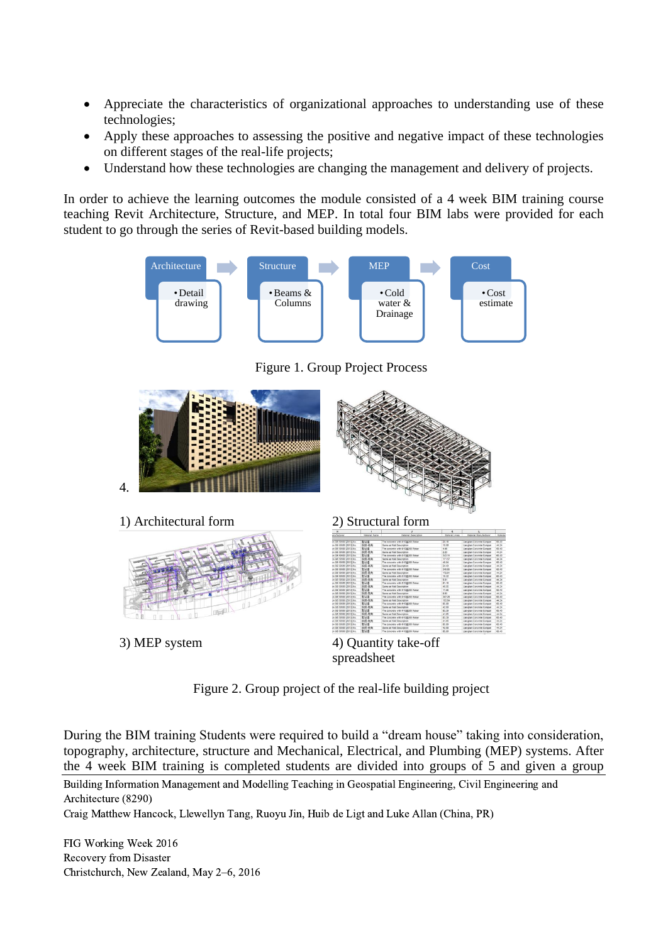- Appreciate the characteristics of organizational approaches to understanding use of these technologies;
- Apply these approaches to assessing the positive and negative impact of these technologies on different stages of the real-life projects;
- Understand how these technologies are changing the management and delivery of projects.

In order to achieve the learning outcomes the module consisted of a 4 week BIM training course teaching Revit Architecture, Structure, and MEP. In total four BIM labs were provided for each student to go through the series of Revit-based building models.



Figure 1. Group Project Process



Figure 2. Group project of the real-life building project

During the BIM training Students were required to build a "dream house" taking into consideration, topography, architecture, structure and Mechanical, Electrical, and Plumbing (MEP) systems. After the 4 week BIM training is completed students are divided into groups of 5 and given a group

Building Information Management and Modelling Teaching in Geospatial Engineering, Civil Engineering and Architecture (8290)

Craig Matthew Hancock, Llewellyn Tang, Ruoyu Jin, Huib de Ligt and Luke Allan (China, PR)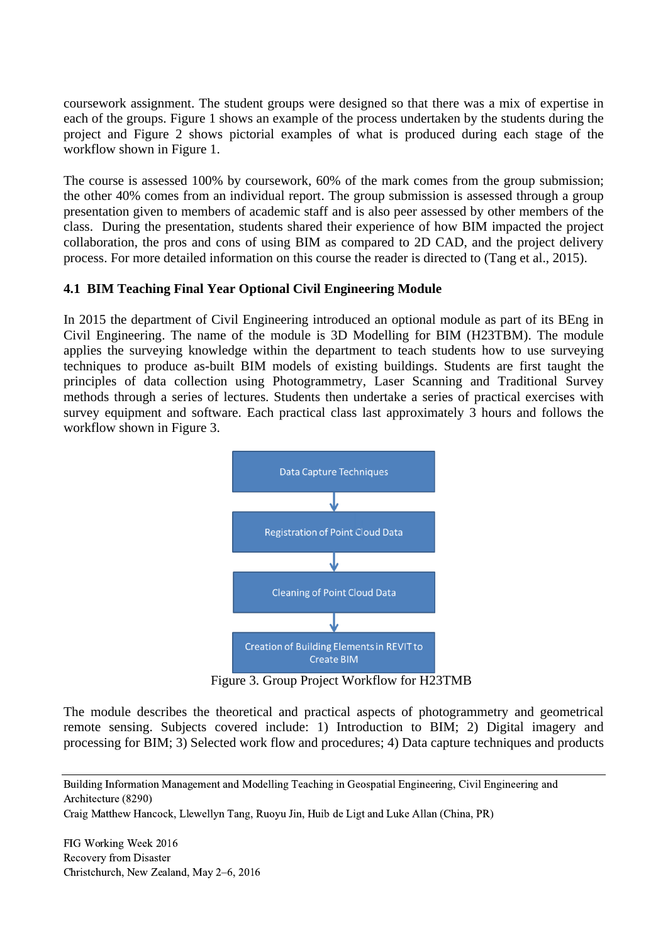coursework assignment. The student groups were designed so that there was a mix of expertise in each of the groups. Figure 1 shows an example of the process undertaken by the students during the project and Figure 2 shows pictorial examples of what is produced during each stage of the workflow shown in Figure 1.

The course is assessed 100% by coursework, 60% of the mark comes from the group submission; the other 40% comes from an individual report. The group submission is assessed through a group presentation given to members of academic staff and is also peer assessed by other members of the class. During the presentation, students shared their experience of how BIM impacted the project collaboration, the pros and cons of using BIM as compared to 2D CAD, and the project delivery process. For more detailed information on this course the reader is directed to [\(Tang et al., 2015\)](#page-9-4).

### **4.1 BIM Teaching Final Year Optional Civil Engineering Module**

In 2015 the department of Civil Engineering introduced an optional module as part of its BEng in Civil Engineering. The name of the module is 3D Modelling for BIM (H23TBM). The module applies the surveying knowledge within the department to teach students how to use surveying techniques to produce as-built BIM models of existing buildings. Students are first taught the principles of data collection using Photogrammetry, Laser Scanning and Traditional Survey methods through a series of lectures. Students then undertake a series of practical exercises with survey equipment and software. Each practical class last approximately 3 hours and follows the workflow shown in Figure 3.



Figure 3. Group Project Workflow for H23TMB

The module describes the theoretical and practical aspects of photogrammetry and geometrical remote sensing. Subjects covered include: 1) Introduction to BIM; 2) Digital imagery and processing for BIM; 3) Selected work flow and procedures; 4) Data capture techniques and products

Building Information Management and Modelling Teaching in Geospatial Engineering, Civil Engineering and Architecture (8290)

Craig Matthew Hancock, Llewellyn Tang, Ruoyu Jin, Huib de Ligt and Luke Allan (China, PR)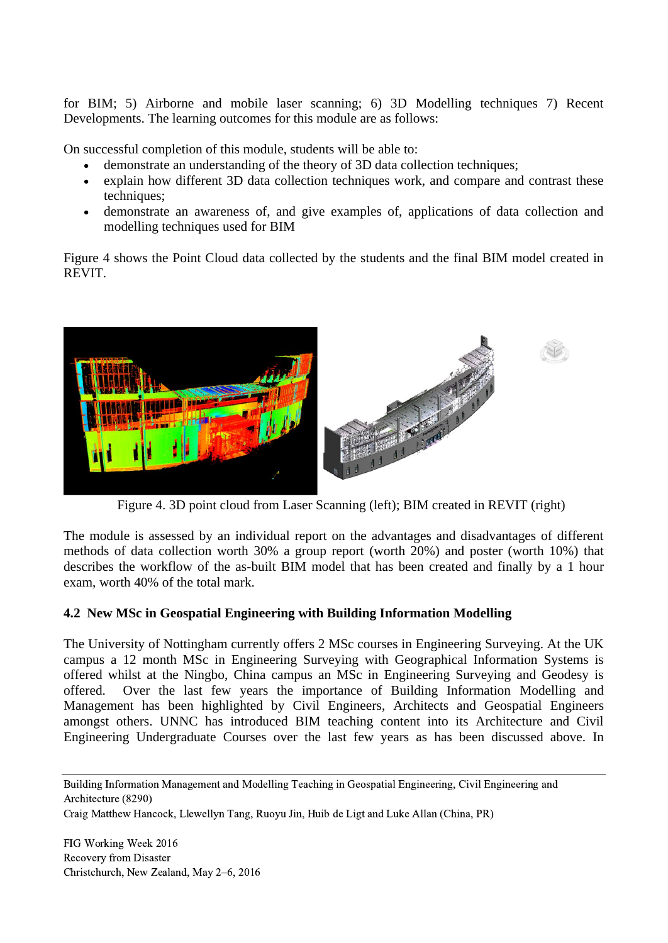for BIM; 5) Airborne and mobile laser scanning; 6) 3D Modelling techniques 7) Recent Developments. The learning outcomes for this module are as follows:

On successful completion of this module, students will be able to:

- demonstrate an understanding of the theory of 3D data collection techniques;
- explain how different 3D data collection techniques work, and compare and contrast these techniques:
- demonstrate an awareness of, and give examples of, applications of data collection and modelling techniques used for BIM

Figure 4 shows the Point Cloud data collected by the students and the final BIM model created in REVIT.



Figure 4. 3D point cloud from Laser Scanning (left); BIM created in REVIT (right)

The module is assessed by an individual report on the advantages and disadvantages of different methods of data collection worth 30% a group report (worth 20%) and poster (worth 10%) that describes the workflow of the as-built BIM model that has been created and finally by a 1 hour exam, worth 40% of the total mark.

## **4.2 New MSc in Geospatial Engineering with Building Information Modelling**

The University of Nottingham currently offers 2 MSc courses in Engineering Surveying. At the UK campus a 12 month MSc in Engineering Surveying with Geographical Information Systems is offered whilst at the Ningbo, China campus an MSc in Engineering Surveying and Geodesy is offered. Over the last few years the importance of Building Information Modelling and Management has been highlighted by Civil Engineers, Architects and Geospatial Engineers amongst others. UNNC has introduced BIM teaching content into its Architecture and Civil Engineering Undergraduate Courses over the last few years as has been discussed above. In

Building Information Management and Modelling Teaching in Geospatial Engineering, Civil Engineering and Architecture (8290)

Craig Matthew Hancock, Llewellyn Tang, Ruoyu Jin, Huib de Ligt and Luke Allan (China, PR)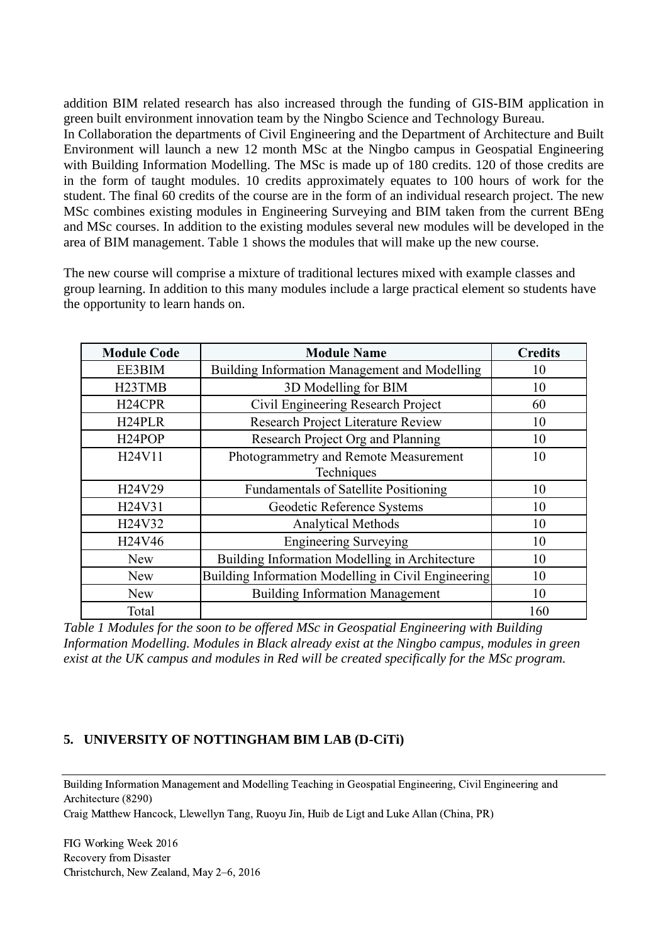addition BIM related research has also increased through the funding of GIS-BIM application in green built environment innovation team by the Ningbo Science and Technology Bureau. In Collaboration the departments of Civil Engineering and the Department of Architecture and Built Environment will launch a new 12 month MSc at the Ningbo campus in Geospatial Engineering with Building Information Modelling. The MSc is made up of 180 credits. 120 of those credits are in the form of taught modules. 10 credits approximately equates to 100 hours of work for the student. The final 60 credits of the course are in the form of an individual research project. The new MSc combines existing modules in Engineering Surveying and BIM taken from the current BEng and MSc courses. In addition to the existing modules several new modules will be developed in the area of BIM management. Table 1 shows the modules that will make up the new course.

The new course will comprise a mixture of traditional lectures mixed with example classes and group learning. In addition to this many modules include a large practical element so students have the opportunity to learn hands on.

| <b>Module Code</b>  | <b>Module Name</b>                                  | <b>Credits</b> |
|---------------------|-----------------------------------------------------|----------------|
| EE3BIM              | Building Information Management and Modelling       | 10             |
| H <sub>23</sub> TMB | 3D Modelling for BIM                                | 10             |
| H <sub>24</sub> CPR | Civil Engineering Research Project                  | 60             |
| H <sub>24</sub> PLR | Research Project Literature Review                  | 10             |
| H <sub>24</sub> POP | Research Project Org and Planning                   | 10             |
| H24V11              | Photogrammetry and Remote Measurement               | 10             |
|                     | Techniques                                          |                |
| H24V29              | <b>Fundamentals of Satellite Positioning</b>        | 10             |
| H24V31              | Geodetic Reference Systems                          | 10             |
| H24V32              | <b>Analytical Methods</b>                           | 10             |
| H24V46              | <b>Engineering Surveying</b>                        | 10             |
| <b>New</b>          | Building Information Modelling in Architecture      | 10             |
| <b>New</b>          | Building Information Modelling in Civil Engineering | 10             |
| <b>New</b>          | <b>Building Information Management</b>              | 10             |
| Total               |                                                     | 160            |

*Table 1 Modules for the soon to be offered MSc in Geospatial Engineering with Building Information Modelling. Modules in Black already exist at the Ningbo campus, modules in green exist at the UK campus and modules in Red will be created specifically for the MSc program.*

### **5. UNIVERSITY OF NOTTINGHAM BIM LAB (D-CiTi)**

Building Information Management and Modelling Teaching in Geospatial Engineering, Civil Engineering and Architecture (8290)

Craig Matthew Hancock, Llewellyn Tang, Ruoyu Jin, Huib de Ligt and Luke Allan (China, PR)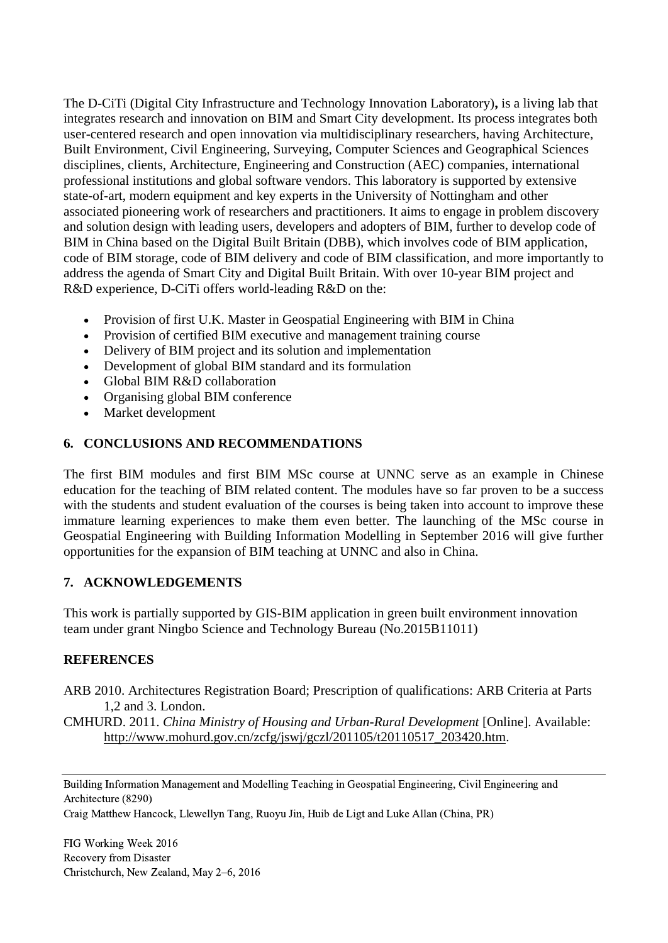The D-CiTi (Digital City Infrastructure and Technology Innovation Laboratory)**,** is a living lab that integrates research and innovation on BIM and Smart City development. Its process integrates both user-centered research and open innovation via multidisciplinary researchers, having Architecture, Built Environment, Civil Engineering, Surveying, Computer Sciences and Geographical Sciences disciplines, clients, Architecture, Engineering and Construction (AEC) companies, international professional institutions and global software vendors. This laboratory is supported by extensive state-of-art, modern equipment and key experts in the University of Nottingham and other associated pioneering work of researchers and practitioners. It aims to engage in problem discovery and solution design with leading users, developers and adopters of BIM, further to develop code of BIM in China based on the Digital Built Britain (DBB), which involves code of BIM application, code of BIM storage, code of BIM delivery and code of BIM classification, and more importantly to address the agenda of Smart City and Digital Built Britain. With over 10-year BIM project and R&D experience, D-CiTi offers world-leading R&D on the:

- Provision of first U.K. Master in Geospatial Engineering with BIM in China
- Provision of certified BIM executive and management training course
- Delivery of BIM project and its solution and implementation
- Development of global BIM standard and its formulation
- Global BIM R&D collaboration
- Organising global BIM conference
- Market development

### **6. CONCLUSIONS AND RECOMMENDATIONS**

The first BIM modules and first BIM MSc course at UNNC serve as an example in Chinese education for the teaching of BIM related content. The modules have so far proven to be a success with the students and student evaluation of the courses is being taken into account to improve these immature learning experiences to make them even better. The launching of the MSc course in Geospatial Engineering with Building Information Modelling in September 2016 will give further opportunities for the expansion of BIM teaching at UNNC and also in China.

### **7. ACKNOWLEDGEMENTS**

This work is partially supported by GIS-BIM application in green built environment innovation team under grant Ningbo Science and Technology Bureau (No.2015B11011)

### **REFERENCES**

- <span id="page-8-1"></span>ARB 2010. Architectures Registration Board; Prescription of qualifications: ARB Criteria at Parts 1,2 and 3. London.
- <span id="page-8-0"></span>CMHURD. 2011. *China Ministry of Housing and Urban-Rural Development* [Online]. Available: [http://www.mohurd.gov.cn/zcfg/jswj/gczl/201105/t20110517\\_203420.htm.](http://www.mohurd.gov.cn/zcfg/jswj/gczl/201105/t20110517_203420.htm)

Building Information Management and Modelling Teaching in Geospatial Engineering, Civil Engineering and Architecture (8290)

Craig Matthew Hancock, Llewellyn Tang, Ruoyu Jin, Huib de Ligt and Luke Allan (China, PR)